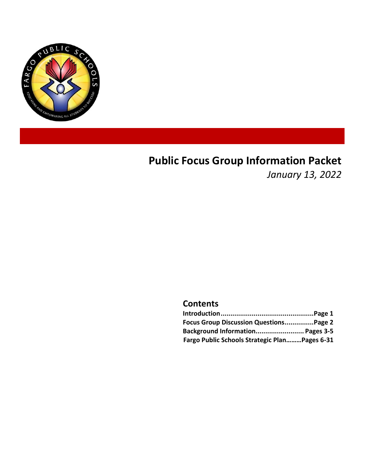

# **Public Focus Group Information Packet**

*January 13, 2022*

### **Contents**

| Focus Group Discussion QuestionsPage 2        |  |
|-----------------------------------------------|--|
| Background Information Pages 3-5              |  |
| Fargo Public Schools Strategic PlanPages 6-31 |  |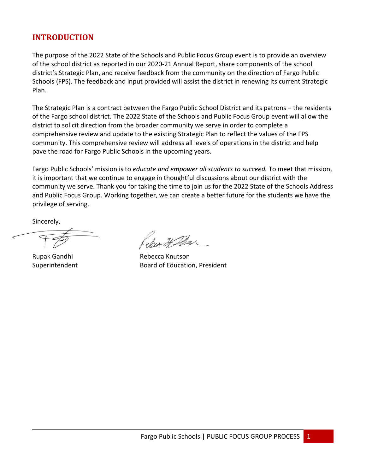### **INTRODUCTION**

The purpose of the 2022 State of the Schools and Public Focus Group event is to provide an overview of the school district as reported in our 2020-21 Annual Report, share components of the school district's Strategic Plan, and receive feedback from the community on the direction of Fargo Public Schools (FPS). The feedback and input provided will assist the district in renewing its current Strategic Plan.

The Strategic Plan is a contract between the Fargo Public School District and its patrons – the residents of the Fargo school district. The 2022 State of the Schools and Public Focus Group event will allow the district to solicit direction from the broader community we serve in order to complete a comprehensive review and update to the existing Strategic Plan to reflect the values of the FPS community. This comprehensive review will address all levels of operations in the district and help pave the road for Fargo Public Schools in the upcoming years.

Fargo Public Schools' mission is to *educate and empower all students to succeed.* To meet that mission, it is important that we continue to engage in thoughtful discussions about our district with the community we serve. Thank you for taking the time to join us for the 2022 State of the Schools Address and Public Focus Group. Working together, we can create a better future for the students we have the privilege of serving.

Sincerely,

Rupak Gandhi **Rebecca Knutson** Superintendent Board of Education, President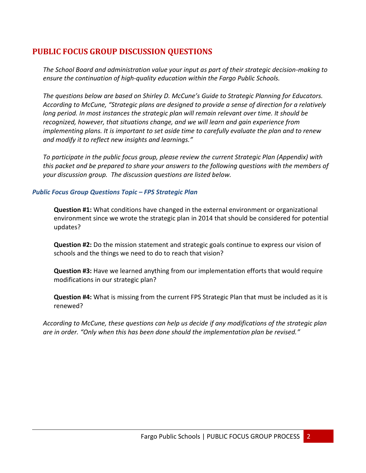### **PUBLIC FOCUS GROUP DISCUSSION QUESTIONS**

*The School Board and administration value your input as part of their strategic decision-making to ensure the continuation of high-quality education within the Fargo Public Schools.* 

*The questions below are based on Shirley D. McCune's Guide to Strategic Planning for Educators. According to McCune, "Strategic plans are designed to provide a sense of direction for a relatively long period. In most instances the strategic plan will remain relevant over time. It should be recognized, however, that situations change, and we will learn and gain experience from implementing plans. It is important to set aside time to carefully evaluate the plan and to renew and modify it to reflect new insights and learnings."*

*To participate in the public focus group, please review the current Strategic Plan (Appendix) with this packet and be prepared to share your answers to the following questions with the members of your discussion group. The discussion questions are listed below.* 

### *Public Focus Group Questions Topic – FPS Strategic Plan*

**Question #1:** What conditions have changed in the external environment or organizational environment since we wrote the strategic plan in 2014 that should be considered for potential updates?

**Question #2:** Do the mission statement and strategic goals continue to express our vision of schools and the things we need to do to reach that vision?

**Question #3:** Have we learned anything from our implementation efforts that would require modifications in our strategic plan?

**Question #4:** What is missing from the current FPS Strategic Plan that must be included as it is renewed?

*According to McCune, these questions can help us decide if any modifications of the strategic plan are in order. "Only when this has been done should the implementation plan be revised."*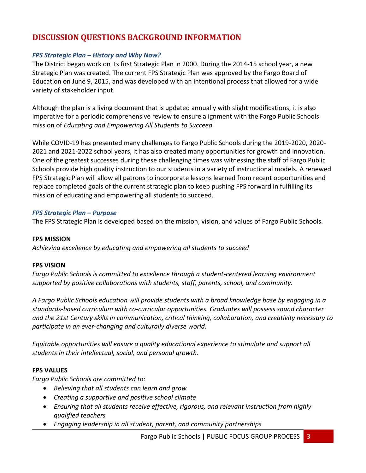### **DISCUSSION QUESTIONS BACKGROUND INFORMATION**

### *FPS Strategic Plan – History and Why Now?*

The District began work on its first Strategic Plan in 2000. During the 2014-15 school year, a new Strategic Plan was created. The current FPS Strategic Plan was approved by the Fargo Board of Education on June 9, 2015, and was developed with an intentional process that allowed for a wide variety of stakeholder input.

Although the plan is a living document that is updated annually with slight modifications, it is also imperative for a periodic comprehensive review to ensure alignment with the Fargo Public Schools mission of *Educating and Empowering All Students to Succeed.*

While COVID-19 has presented many challenges to Fargo Public Schools during the 2019-2020, 2020- 2021 and 2021-2022 school years, it has also created many opportunities for growth and innovation. One of the greatest successes during these challenging times was witnessing the staff of Fargo Public Schools provide high quality instruction to our students in a variety of instructional models. A renewed FPS Strategic Plan will allow all patrons to incorporate lessons learned from recent opportunities and replace completed goals of the current strategic plan to keep pushing FPS forward in fulfilling its mission of educating and empowering all students to succeed.

#### *FPS Strategic Plan – Purpose*

The FPS Strategic Plan is developed based on the mission, vision, and values of Fargo Public Schools.

#### **FPS MISSION**

*Achieving excellence by educating and empowering all students to succeed*

### **FPS VISION**

*Fargo Public Schools is committed to excellence through a student-centered learning environment supported by positive collaborations with students, staff, parents, school, and community.*

*A Fargo Public Schools education will provide students with a broad knowledge base by engaging in a standards-based curriculum with co-curricular opportunities. Graduates will possess sound character and the 21st Century skills in communication, critical thinking, collaboration, and creativity necessary to participate in an ever-changing and culturally diverse world.*

*Equitable opportunities will ensure a quality educational experience to stimulate and support all students in their intellectual, social, and personal growth.*

### **FPS VALUES**

*Fargo Public Schools are committed to:*

- *Believing that all students can learn and grow*
- *Creating a supportive and positive school climate*
- *Ensuring that all students receive effective, rigorous, and relevant instruction from highly qualified teachers*
- *Engaging leadership in all student, parent, and community partnerships*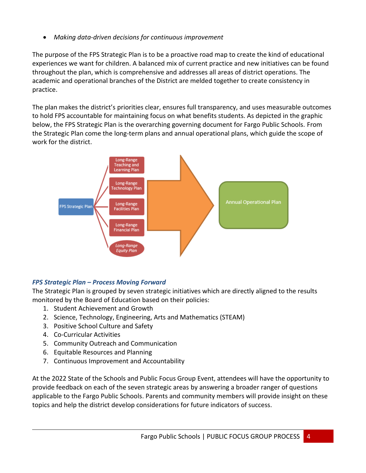• *Making data-driven decisions for continuous improvement*

The purpose of the FPS Strategic Plan is to be a proactive road map to create the kind of educational experiences we want for children. A balanced mix of current practice and new initiatives can be found throughout the plan, which is comprehensive and addresses all areas of district operations. The academic and operational branches of the District are melded together to create consistency in practice.

The plan makes the district's priorities clear, ensures full transparency, and uses measurable outcomes to hold FPS accountable for maintaining focus on what benefits students. As depicted in the graphic below, the FPS Strategic Plan is the overarching governing document for Fargo Public Schools. From the Strategic Plan come the long-term plans and annual operational plans, which guide the scope of work for the district.



### *FPS Strategic Plan – Process Moving Forward*

The Strategic Plan is grouped by seven strategic initiatives which are directly aligned to the results monitored by the Board of Education based on their policies:

- 1. Student Achievement and Growth
- 2. Science, Technology, Engineering, Arts and Mathematics (STEAM)
- 3. Positive School Culture and Safety
- 4. Co-Curricular Activities
- 5. Community Outreach and Communication
- 6. Equitable Resources and Planning
- 7. Continuous Improvement and Accountability

At the 2022 State of the Schools and Public Focus Group Event, attendees will have the opportunity to provide feedback on each of the seven strategic areas by answering a broader ranger of questions applicable to the Fargo Public Schools. Parents and community members will provide insight on these topics and help the district develop considerations for future indicators of success.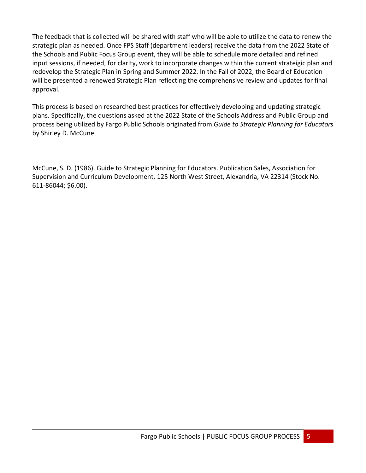The feedback that is collected will be shared with staff who will be able to utilize the data to renew the strategic plan as needed. Once FPS Staff (department leaders) receive the data from the 2022 State of the Schools and Public Focus Group event, they will be able to schedule more detailed and refined input sessions, if needed, for clarity, work to incorporate changes within the current strateigic plan and redevelop the Strategic Plan in Spring and Summer 2022. In the Fall of 2022, the Board of Education will be presented a renewed Strategic Plan reflecting the comprehensive review and updates for final approval.

This process is based on researched best practices for effectively developing and updating strategic plans. Specifically, the questions asked at the 2022 State of the Schools Address and Public Group and process being utilized by Fargo Public Schools originated from *Guide to Strategic Planning for Educators* by Shirley D. McCune.

McCune, S. D. (1986). Guide to Strategic Planning for Educators. Publication Sales, Association for Supervision and Curriculum Development, 125 North West Street, Alexandria, VA 22314 (Stock No. 611-86044; \$6.00).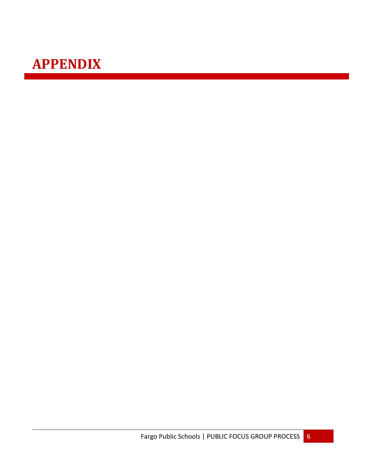# **APPENDIX**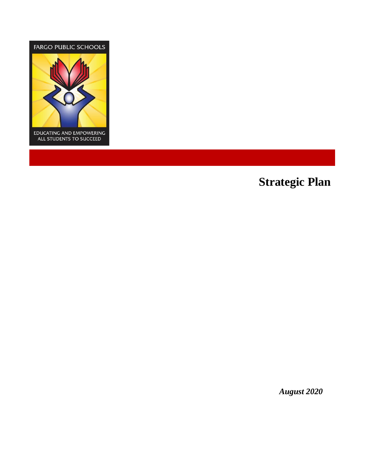

# **Strategic Plan**

*August 2020*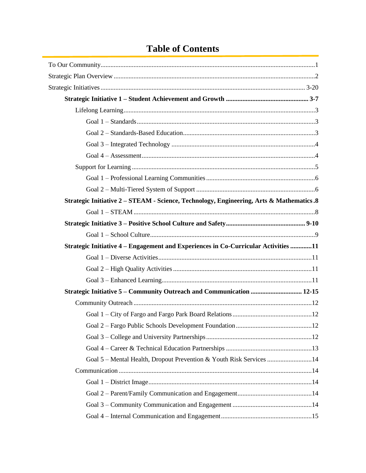# **Table of Contents**

| Strategic Initiative 2 – STEAM - Science, Technology, Engineering, Arts & Mathematics .8 |  |
|------------------------------------------------------------------------------------------|--|
|                                                                                          |  |
|                                                                                          |  |
|                                                                                          |  |
| Strategic Initiative 4 – Engagement and Experiences in Co-Curricular Activities 11       |  |
|                                                                                          |  |
|                                                                                          |  |
|                                                                                          |  |
| Strategic Initiative 5 – Community Outreach and Communication  12-15                     |  |
|                                                                                          |  |
|                                                                                          |  |
|                                                                                          |  |
|                                                                                          |  |
|                                                                                          |  |
| Goal 5 - Mental Health, Dropout Prevention & Youth Risk Services 14                      |  |
|                                                                                          |  |
|                                                                                          |  |
|                                                                                          |  |
|                                                                                          |  |
|                                                                                          |  |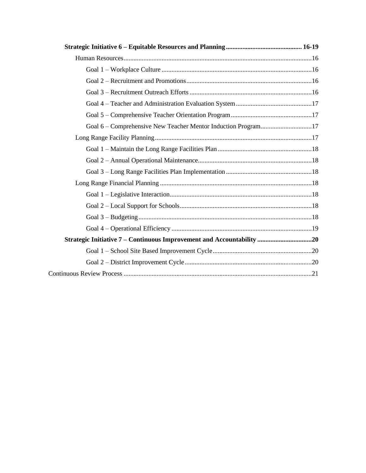| Goal 6 – Comprehensive New Teacher Mentor Induction Program17         |  |
|-----------------------------------------------------------------------|--|
|                                                                       |  |
|                                                                       |  |
|                                                                       |  |
|                                                                       |  |
|                                                                       |  |
|                                                                       |  |
|                                                                       |  |
|                                                                       |  |
|                                                                       |  |
| Strategic Initiative 7 - Continuous Improvement and Accountability 20 |  |
|                                                                       |  |
|                                                                       |  |
|                                                                       |  |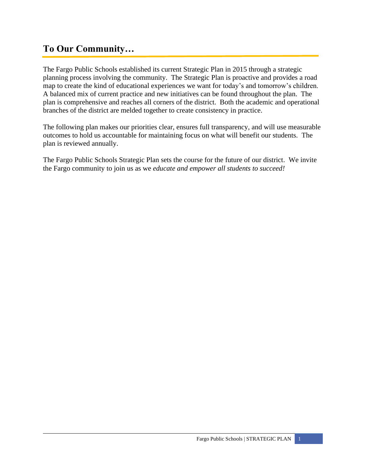# **To Our Community…**

The Fargo Public Schools established its current Strategic Plan in 2015 through a strategic planning process involving the community. The Strategic Plan is proactive and provides a road map to create the kind of educational experiences we want for today's and tomorrow's children. A balanced mix of current practice and new initiatives can be found throughout the plan. The plan is comprehensive and reaches all corners of the district. Both the academic and operational branches of the district are melded together to create consistency in practice.

The following plan makes our priorities clear, ensures full transparency, and will use measurable outcomes to hold us accountable for maintaining focus on what will benefit our students. The plan is reviewed annually.

The Fargo Public Schools Strategic Plan sets the course for the future of our district. We invite the Fargo community to join us as we *educate and empower all students to succeed!*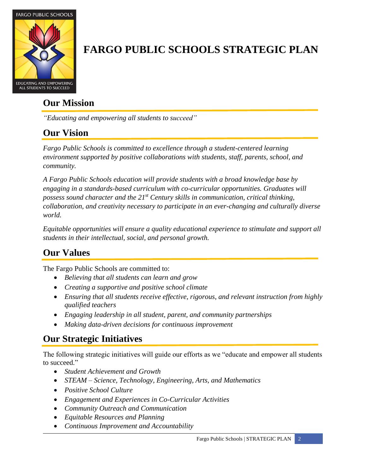

# **FARGO PUBLIC SCHOOLS STRATEGIC PLAN**

# **Our Mission**

*"Educating and empowering all students to succeed"*

# **Our Vision**

*Fargo Public Schools is committed to excellence through a student-centered learning environment supported by positive collaborations with students, staff, parents, school, and community.* 

*A Fargo Public Schools education will provide students with a broad knowledge base by engaging in a standards-based curriculum with co-curricular opportunities. Graduates will possess sound character and the 21st Century skills in communication, critical thinking, collaboration, and creativity necessary to participate in an ever-changing and culturally diverse world.*

*Equitable opportunities will ensure a quality educational experience to stimulate and support all students in their intellectual, social, and personal growth.*

# **Our Values**

The Fargo Public Schools are committed to:

- *Believing that all students can learn and grow*
- *Creating a supportive and positive school climate*
- *Ensuring that all students receive effective, rigorous, and relevant instruction from highly qualified teachers*
- *Engaging leadership in all student, parent, and community partnerships*
- *Making data-driven decisions for continuous improvement*

# **Our Strategic Initiatives**

The following strategic initiatives will guide our efforts as we "educate and empower all students to succeed."

- *Student Achievement and Growth*
- *STEAM – Science, Technology, Engineering, Arts, and Mathematics*
- *Positive School Culture*
- *Engagement and Experiences in Co-Curricular Activities*
- *Community Outreach and Communication*
- *Equitable Resources and Planning*
- *Continuous Improvement and Accountability*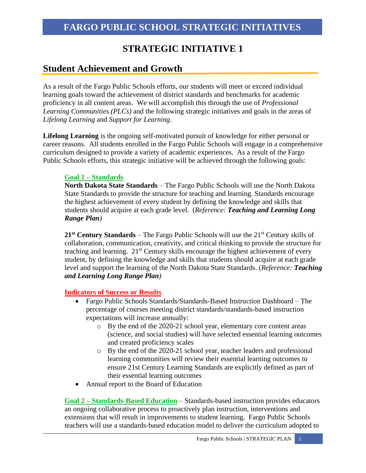### **Student Achievement and Growth**

As a result of the Fargo Public Schools efforts, our students will meet or exceed individual learning goals toward the achievement of district standards and benchmarks for academic proficiency in all content areas. We will accomplish this through the use of *Professional Learning Communities (PLCs)* and the following strategic initiatives and goals in the areas of *Lifelong Learning* and *Support for Learning*.

**Lifelong Learning** is the ongoing self-motivated pursuit of knowledge for either personal or career reasons. All students enrolled in the Fargo Public Schools will engage in a comprehensive curriculum designed to provide a variety of academic experiences. As a result of the Fargo Public Schools efforts, this strategic initiative will be achieved through the following goals:

### **Goal 1 – Standards**

**North Dakota State Standards** – The Fargo Public Schools will use the North Dakota State Standards to provide the structure for teaching and learning. Standards encourage the highest achievement of every student by defining the knowledge and skills that students should acquire at each grade level. (*Reference: Teaching and Learning Long Range Plan)*

21<sup>st</sup> Century Standards – The Fargo Public Schools will use the 21<sup>st</sup> Century skills of collaboration, communication, creativity, and critical thinking to provide the structure for teaching and learning.  $21<sup>st</sup>$  Century skills encourage the highest achievement of every student, by defining the knowledge and skills that students should acquire at each grade level and support the learning of the North Dakota State Standards. (*Reference: Teaching and Learning Long Range Plan)*

### **Indicators of Success or Results**

- Fargo Public Schools Standards/Standards-Based Instruction Dashboard The percentage of courses meeting district standards/standards-based instruction expectations will increase annually:
	- o By the end of the 2020-21 school year, elementary core content areas (science, and social studies) will have selected essential learning outcomes and created proficiency scales
	- o By the end of the 2020-21 school year, teacher leaders and professional learning communities will review their essential learning outcomes to ensure 21st Century Learning Standards are explicitly defined as part of their essential learning outcomes
- Annual report to the Board of Education

**Goal 2 – Standards-Based Education** – Standards-based instruction provides educators an ongoing collaborative process to proactively plan instruction, interventions and extensions that will result in improvements to student learning. Fargo Public Schools teachers will use a standards-based education model to deliver the curriculum adopted to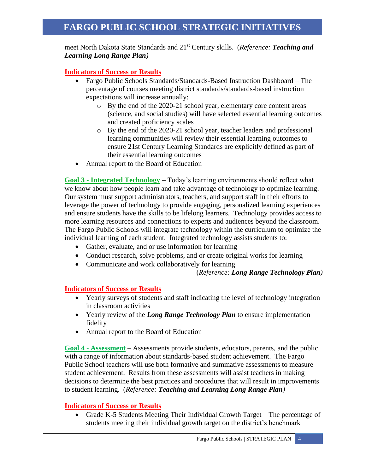meet North Dakota State Standards and 21st Century skills. (*Reference: Teaching and Learning Long Range Plan)*

**Indicators of Success or Results**

- Fargo Public Schools Standards/Standards-Based Instruction Dashboard The percentage of courses meeting district standards/standards-based instruction expectations will increase annually:
	- o By the end of the 2020-21 school year, elementary core content areas (science, and social studies) will have selected essential learning outcomes and created proficiency scales
	- o By the end of the 2020-21 school year, teacher leaders and professional learning communities will review their essential learning outcomes to ensure 21st Century Learning Standards are explicitly defined as part of their essential learning outcomes
- Annual report to the Board of Education

**Goal 3 - Integrated Technology** – Today's learning environments should reflect what we know about how people learn and take advantage of technology to optimize learning. Our system must support administrators, teachers, and support staff in their efforts to leverage the power of technology to provide engaging, personalized learning experiences and ensure students have the skills to be lifelong learners. Technology provides access to more learning resources and connections to experts and audiences beyond the classroom. The Fargo Public Schools will integrate technology within the curriculum to optimize the individual learning of each student. Integrated technology assists students to:

- Gather, evaluate, and or use information for learning
- Conduct research, solve problems, and or create original works for learning
- Communicate and work collaboratively for learning

(*Reference: Long Range Technology Plan)*

#### **Indicators of Success or Results**

- Yearly surveys of students and staff indicating the level of technology integration in classroom activities
- Yearly review of the *Long Range Technology Plan* to ensure implementation fidelity
- Annual report to the Board of Education

**Goal 4 - Assessment** *–* Assessments provide students, educators, parents, and the public with a range of information about standards-based student achievement. The Fargo Public School teachers will use both formative and summative assessments to measure student achievement. Results from these assessments will assist teachers in making decisions to determine the best practices and procedures that will result in improvements to student learning. (*Reference: Teaching and Learning Long Range Plan)*

#### **Indicators of Success or Results**

• [Grade K-5 Students Meeting T](http://benchmarks.tacoma.k12.wa.us/Benchmarks/Percent%20Meeting%20EOC.xlsx?Web=1)heir Individual Growth Target – The percentage of students meeting their individual growth target on the district's benchmark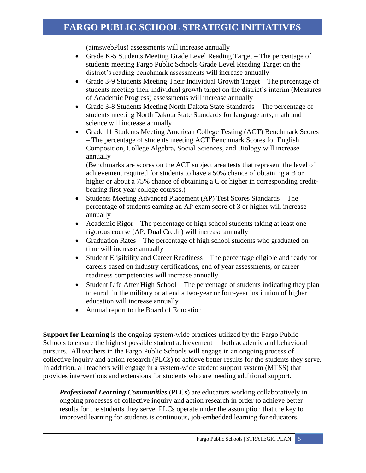(aimswebPlus) assessments will increase annually

- [Grade K-5 Students Meeting G](http://benchmarks.tacoma.k12.wa.us/Benchmarks/Percent%20Meeting%20EOC.xlsx?Web=1)rade Level Reading Target The percentage of students meeting Fargo Public Schools Grade Level Reading Target on the district's reading benchmark assessments will increase annually
- Grade 3-9 [Students Meeting T](http://benchmarks.tacoma.k12.wa.us/Benchmarks/Percent%20Meeting%20EOC.xlsx?Web=1)heir Individual Growth Target The percentage of students meeting their individual growth target on the district's interim (Measures of Academic Progress) assessments will increase annually
- [Grade 3-8 Students Meeting North Dakota State](http://benchmarks.tacoma.k12.wa.us/Benchmarks/Percent%20Meeting%20EOC.xlsx?Web=1) Standards The percentage of students meeting North Dakota State Standards for language arts, math and science will increase annually
- Grade 11 Students Meeting American College Testing (ACT) Benchmark Scores – The percentage of students meeting ACT Benchmark Scores for English Composition, College Algebra, Social Sciences, and Biology will increase annually

(Benchmarks are scores on the ACT subject area tests that represent the level of achievement required for students to have a 50% chance of obtaining a B or higher or about a 75% chance of obtaining a C or higher in corresponding creditbearing first-year college courses.)

- Students Meeting Advanced Placement (AP) Test Scores Standards The percentage of students earning an AP exam score of 3 or higher will increase annually
- [Academic Rigor](http://benchmarks.tacoma.k12.wa.us/Benchmarks/Academic%20Rigor.xlsx?Web=1) The percentage of high school students taking at least one rigorous course (AP, Dual Credit) will increase annually
- [Graduation Rates](http://benchmarks.tacoma.k12.wa.us/Benchmarks/Student%20Graduation.xlsx?Web=1) The percentage of high school students who graduated on time will increase annually
- [Student Eligibility and Career Readiness](http://benchmarks.tacoma.k12.wa.us/Benchmarks/Student%20Eligibility%20and%20Readiness%20(Industry%20Certification).xlsx?Web=1) The percentage eligible and ready for careers based on industry certifications, end of year assessments, or career readiness competencies will increase annually
- [Student Life After High School](http://benchmarks.tacoma.k12.wa.us/Benchmarks/Student%20Life%20After%20High%20School%20(Post-Secondary%20Institution).xlsx?Web=1) The percentage of students indicating they plan to enroll in the military or attend a two-year or four-year institution of higher education will increase annually
- Annual report to the Board of Education

**Support for Learning** is the ongoing system-wide practices utilized by the Fargo Public Schools to ensure the highest possible student achievement in both academic and behavioral pursuits. All teachers in the Fargo Public Schools will engage in an ongoing process of collective inquiry and action research (PLCs) to achieve better results for the students they serve. In addition, all teachers will engage in a system-wide student support system (MTSS) that provides interventions and extensions for students who are needing additional support.

*Professional Learning Communities* (PLCs) are educators working collaboratively in ongoing processes of collective inquiry and action research in order to achieve better results for the students they serve. PLCs operate under the assumption that the key to improved learning for students is continuous, job-embedded learning for educators.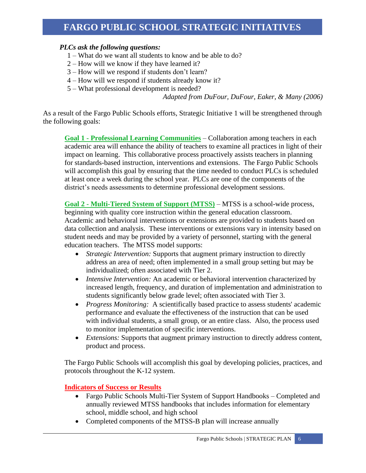### *PLCs ask the following questions:*

- 1 What do we want all students to know and be able to do?
- 2 How will we know if they have learned it?
- 3 How will we respond if students don't learn?
- 4 How will we respond if students already know it?
- 5 What professional development is needed?

*Adapted from DuFour, DuFour, Eaker, & Many (2006)*

As a result of the Fargo Public Schools efforts, Strategic Initiative 1 will be strengthened through the following goals:

**Goal 1 - Professional Learning Communities** – Collaboration among teachers in each academic area will enhance the ability of teachers to examine all practices in light of their impact on learning. This collaborative process proactively assists teachers in planning for standards-based instruction, interventions and extensions. The Fargo Public Schools will accomplish this goal by ensuring that the time needed to conduct PLCs is scheduled at least once a week during the school year. PLCs are one of the components of the district's needs assessments to determine professional development sessions.

**Goal 2 - Multi-Tiered System of Support (MTSS)** – MTSS is a school-wide process, beginning with quality core instruction within the general education classroom. Academic and behavioral interventions or extensions are provided to students based on data collection and analysis. These interventions or extensions vary in intensity based on student needs and may be provided by a variety of personnel, starting with the general education teachers. The MTSS model supports:

- *Strategic Intervention:* Supports that augment primary instruction to directly address an area of need; often implemented in a small group setting but may be individualized; often associated with Tier 2.
- *Intensive Intervention:* An academic or behavioral intervention characterized by increased length, frequency, and duration of implementation and administration to students significantly below grade level; often associated with Tier 3.
- *Progress Monitoring:* A scientifically based practice to assess students' academic performance and evaluate the effectiveness of the instruction that can be used with individual students, a small group, or an entire class. Also, the process used to monitor implementation of specific interventions.
- *Extensions:* Supports that augment primary instruction to directly address content, product and process.

The Fargo Public Schools will accomplish this goal by developing policies, practices, and protocols throughout the K-12 system.

- Fargo Public Schools Multi-Tier System of Support Handbooks Completed and annually reviewed MTSS handbooks that includes information for elementary school, middle school, and high school
- Completed components of the MTSS-B plan will increase annually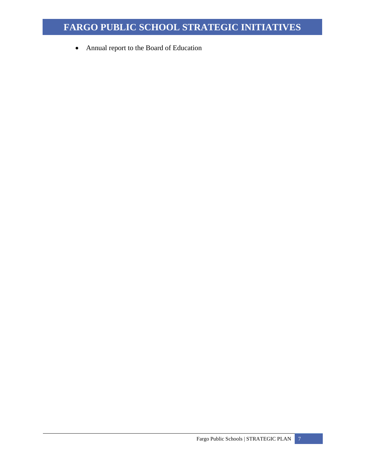• Annual report to the Board of Education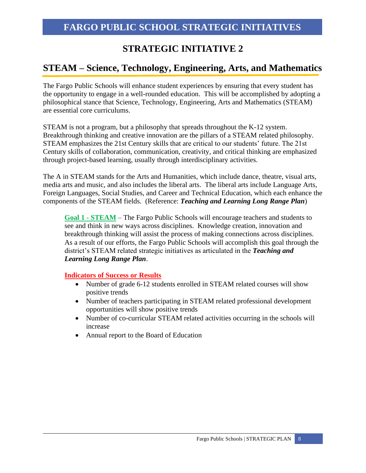# **STEAM – Science, Technology, Engineering, Arts, and Mathematics**

The Fargo Public Schools will enhance student experiences by ensuring that every student has the opportunity to engage in a well-rounded education. This will be accomplished by adopting a philosophical stance that Science, Technology, Engineering, Arts and Mathematics (STEAM) are essential core curriculums.

STEAM is not a program, but a philosophy that spreads throughout the K-12 system. Breakthrough thinking and creative innovation are the pillars of a STEAM related philosophy. STEAM emphasizes the 21st Century skills that are critical to our students' future. The 21st Century skills of collaboration, communication, creativity, and critical thinking are emphasized through [project-based learning,](http://stemeducation.edublogs.org/2011/11/14/hello-world/) usually through interdisciplinary activities.

The A in STEAM stands for the Arts and Humanities, which include dance, theatre, visual arts, media arts and music, and also includes the liberal arts. The liberal arts include Language Arts, Foreign Languages, Social Studies, and Career and Technical Education, which each enhance the components of the STEAM fields. (Reference: *Teaching and Learning Long Range Plan*)

**Goal 1 - STEAM** – The Fargo Public Schools will encourage teachers and students to see and think in new ways across disciplines. Knowledge creation, innovation and breakthrough thinking will assist the process of making connections across disciplines. As a result of our efforts, the Fargo Public Schools will accomplish this goal through the district's STEAM related strategic initiatives as articulated in the *Teaching and Learning Long Range Plan*.

- Number of grade 6-12 students enrolled in STEAM related courses will show positive trends
- Number of teachers participating in STEAM related professional development opportunities will show positive trends
- Number of co-curricular STEAM related activities occurring in the schools will increase
- Annual report to the Board of Education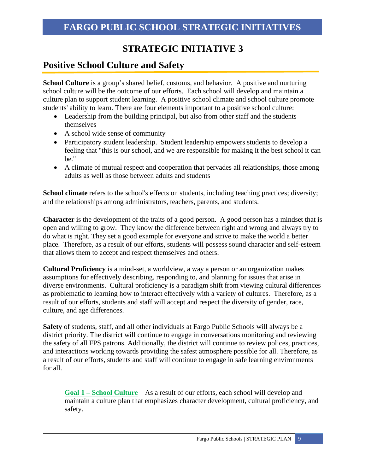## **Positive School Culture and Safety**

**School Culture** is a group's shared belief, customs, and behavior. A positive and nurturing school culture will be the outcome of our efforts. Each school will develop and maintain a culture plan to support student learning. A positive school climate and school culture promote students' ability to learn. There are four elements important to a positive school culture:

- Leadership from the building principal, but also from other staff and the students themselves
- A school wide sense of community
- Participatory student leadership. Student leadership empowers students to develop a feeling that "this is our school, and we are responsible for making it the best school it can be."
- A climate of mutual respect and cooperation that pervades all relationships, those among adults as well as those between adults and students

**School climate** refers to the school's effects on students, including teaching practices; diversity; and the relationships among administrators, teachers, parents, and students.

**Character** is the development of the traits of a good person. A good person has a mindset that is open and willing to grow. They know the difference between right and wrong and always try to do what is right. They set a good example for everyone and strive to make the world a better place. Therefore, as a result of our efforts, students will possess sound character and self-esteem that allows them to accept and respect themselves and others.

**Cultural Proficiency** is a mind-set, a worldview, a way a person or an organization makes assumptions for effectively describing, responding to, and planning for issues that arise in diverse environments. Cultural proficiency is a paradigm shift from viewing cultural differences as problematic to learning how to interact effectively with a variety of cultures. Therefore, as a result of our efforts, students and staff will accept and respect the diversity of gender, race, culture, and age differences.

**Safety** of students, staff, and all other individuals at Fargo Public Schools will always be a district priority. The district will continue to engage in conversations monitoring and reviewing the safety of all FPS patrons. Additionally, the district will continue to review polices, practices, and interactions working towards providing the safest atmosphere possible for all. Therefore, as a result of our efforts, students and staff will continue to engage in safe learning environments for all.

**Goal 1 – School Culture** – As a result of our efforts, each school will develop and maintain a culture plan that emphasizes character development, cultural proficiency, and safety.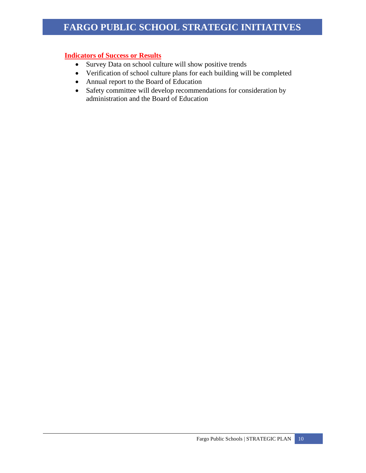- Survey Data on school culture will show positive trends
- Verification of school culture plans for each building will be completed
- Annual report to the Board of Education
- Safety committee will develop recommendations for consideration by administration and the Board of Education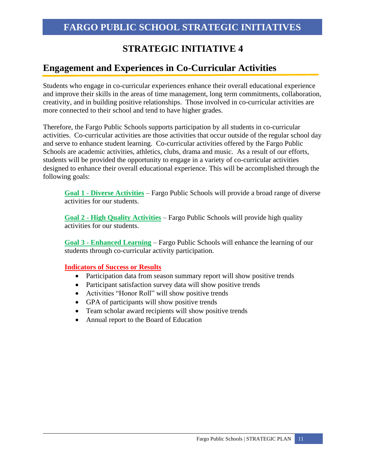## **Engagement and Experiences in Co-Curricular Activities**

Students who engage in co-curricular experiences enhance their overall educational experience and improve their skills in the areas of time management, long term commitments, collaboration, creativity, and in building positive relationships. Those involved in co-curricular activities are more connected to their school and tend to have higher grades.

Therefore, the Fargo Public Schools supports participation by all students in co-curricular activities. Co-curricular activities are those activities that occur outside of the regular school day and serve to enhance student learning. Co-curricular activities offered by the Fargo Public Schools are academic activities, athletics, clubs, drama and music. As a result of our efforts, students will be provided the opportunity to engage in a variety of co-curricular activities designed to enhance their overall educational experience. This will be accomplished through the following goals:

**Goal 1 - Diverse Activities** – Fargo Public Schools will provide a broad range of diverse activities for our students.

**Goal 2 - High Quality Activities** – Fargo Public Schools will provide high quality activities for our students.

**Goal 3 - Enhanced Learning** – Fargo Public Schools will enhance the learning of our students through co-curricular activity participation.

- Participation data from season summary report will show positive trends
- Participant satisfaction survey data will show positive trends
- Activities "Honor Roll" will show positive trends
- GPA of participants will show positive trends
- Team scholar award recipients will show positive trends
- Annual report to the Board of Education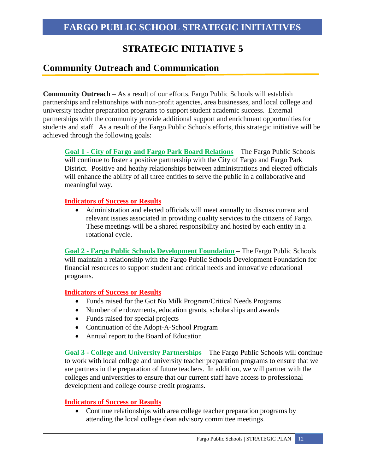## **Community Outreach and Communication**

**Community Outreach** – As a result of our efforts, Fargo Public Schools will establish partnerships and relationships with non-profit agencies, area businesses, and local college and university teacher preparation programs to support student academic success. External partnerships with the community provide additional support and enrichment opportunities for students and staff. As a result of the Fargo Public Schools efforts, this strategic initiative will be achieved through the following goals:

**Goal 1 - City of Fargo and Fargo Park Board Relations** – The Fargo Public Schools will continue to foster a positive partnership with the City of Fargo and Fargo Park District. Positive and heathy relationships between administrations and elected officials will enhance the ability of all three entities to serve the public in a collaborative and meaningful way.

### **Indicators of Success or Results**

• Administration and elected officials will meet annually to discuss current and relevant issues associated in providing quality services to the citizens of Fargo. These meetings will be a shared responsibility and hosted by each entity in a rotational cycle.

**Goal 2 - Fargo Public Schools Development Foundation** – The Fargo Public Schools will maintain a relationship with the Fargo Public Schools Development Foundation for financial resources to support student and critical needs and innovative educational programs.

### **Indicators of Success or Results**

- Funds raised for the Got No Milk Program/Critical Needs Programs
- Number of endowments, education grants, scholarships and awards
- Funds raised for special projects
- Continuation of the Adopt-A-School Program
- Annual report to the Board of Education

**Goal 3 - College and University Partnerships** – The Fargo Public Schools will continue to work with local college and university teacher preparation programs to ensure that we are partners in the preparation of future teachers. In addition, we will partner with the colleges and universities to ensure that our current staff have access to professional development and college course credit programs.

### **Indicators of Success or Results**

• Continue relationships with area college teacher preparation programs by attending the local college dean advisory committee meetings.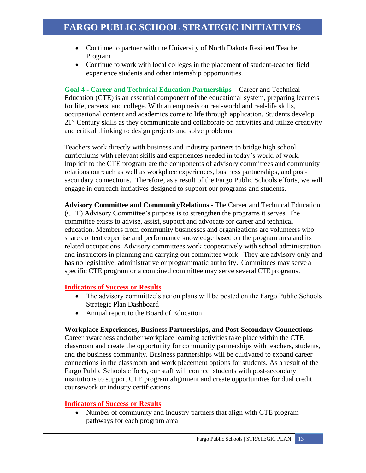- Continue to partner with the University of North Dakota Resident Teacher Program
- Continue to work with local colleges in the placement of student-teacher field experience students and other internship opportunities.

**Goal 4 - Career and Technical Education Partnerships** – Career and Technical Education (CTE) is an essential component of the educational system, preparing learners for life, careers, and college. With an emphasis on real-world and real-life skills, occupational content and academics come to life through application. Students develop 21<sup>st</sup> Century skills as they communicate and collaborate on activities and utilize creativity and critical thinking to design projects and solve problems.

Teachers work directly with business and industry partners to bridge high school curriculums with relevant skills and experiences needed in today's world of work. Implicit to the CTE program are the components of advisory committees and community relations outreach as well as workplace experiences, business partnerships, and postsecondary connections. Therefore, as a result of the Fargo Public Schools efforts, we will engage in outreach initiatives designed to support our programs and students.

**Advisory Committee and CommunityRelations -** The Career and Technical Education (CTE) Advisory Committee's purpose is to strengthen the programs it serves. The committee exists to advise, assist, support and advocate for career and technical education. Members from community businesses and organizations are volunteers who share content expertise and performance knowledge based on the program area and its related occupations. Advisory committees work cooperatively with school administration and instructors in planning and carrying out committee work. They are advisory only and has no legislative, administrative or programmatic authority. Committees may serve a specific CTE program or a combined committee may serve several CTE programs.

### **Indicators of Success or Results**

- The advisory committee's action plans will be posted on the Fargo Public Schools Strategic Plan Dashboard
- Annual report to the Board of Education

### **Workplace Experiences, Business Partnerships, and Post-Secondary Connections** -

Career awareness andother workplace learning activities take place within the CTE classroom and create the opportunity for community partnerships with teachers, students, and the business community. Business partnerships will be cultivated to expand career connections in the classroom and work placement options for students. As a result of the Fargo Public Schools efforts, our staff will connect students with post-secondary institutions to support CTE program alignment and create opportunities for dual credit coursework or industry certifications.

### **Indicators of Success or Results**

• Number of community and industry partners that align with CTE program pathways for each program area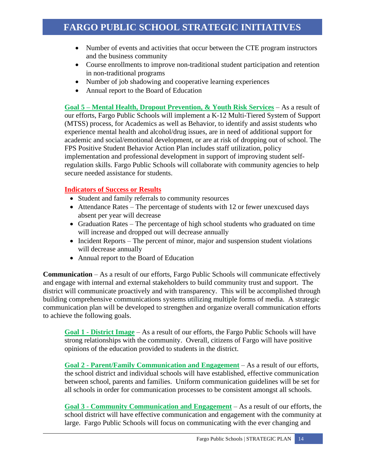- Number of events and activities that occur between the CTE program instructors and the business community
- Course enrollments to improve non-traditional student participation and retention in non-traditional programs
- Number of job shadowing and cooperative learning experiences
- Annual report to the Board of Education

**Goal 5 – Mental Health, Dropout Prevention, & Youth Risk Services** – As a result of our efforts, Fargo Public Schools will implement a K-12 Multi-Tiered System of Support (MTSS) process, for Academics as well as Behavior, to identify and assist students who experience mental health and alcohol/drug issues, are in need of additional support for academic and social/emotional development, or are at risk of dropping out of school. The FPS Positive Student Behavior Action Plan includes staff utilization, policy implementation and professional development in support of improving student selfregulation skills. Fargo Public Schools will collaborate with community agencies to help secure needed assistance for students.

### **Indicators of Success or Results**

- Student and family referrals to community resources
- Attendance Rates The percentage of students with 12 or fewer unexcused days absent per year will decrease
- [Graduation Rates](http://benchmarks.tacoma.k12.wa.us/Benchmarks/Student%20Graduation.xlsx?Web=1) The percentage of high school students who graduated on time will increase and dropped out will decrease annually
- Incident Reports The percent of minor, major and suspension student violations will decrease annually
- Annual report to the Board of Education

**Communication** – As a result of our efforts, Fargo Public Schools will communicate effectively and engage with internal and external stakeholders to build community trust and support. The district will communicate proactively and with transparency. This will be accomplished through building comprehensive communications systems utilizing multiple forms of media. A strategic communication plan will be developed to strengthen and organize overall communication efforts to achieve the following goals.

**Goal 1 - District Image** – As a result of our efforts, the Fargo Public Schools will have strong relationships with the community. Overall, citizens of Fargo will have positive opinions of the education provided to students in the district.

**Goal 2 - Parent/Family Communication and Engagement** – As a result of our efforts, the school district and individual schools will have established, effective communication between school, parents and families. Uniform communication guidelines will be set for all schools in order for communication processes to be consistent amongst all schools.

**Goal 3 - Community Communication and Engagement** – As a result of our efforts, the school district will have effective communication and engagement with the community at large. Fargo Public Schools will focus on communicating with the ever changing and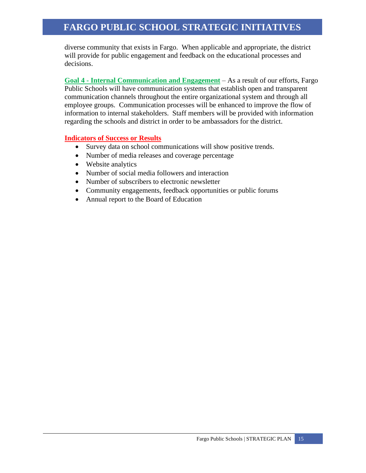diverse community that exists in Fargo. When applicable and appropriate, the district will provide for public engagement and feedback on the educational processes and decisions.

**Goal 4 - Internal Communication and Engagement** – As a result of our efforts, Fargo Public Schools will have communication systems that establish open and transparent communication channels throughout the entire organizational system and through all employee groups. Communication processes will be enhanced to improve the flow of information to internal stakeholders. Staff members will be provided with information regarding the schools and district in order to be ambassadors for the district.

- Survey data on school communications will show positive trends.
- Number of media releases and coverage percentage
- Website analytics
- Number of social media followers and interaction
- Number of subscribers to electronic newsletter
- Community engagements, feedback opportunities or public forums
- Annual report to the Board of Education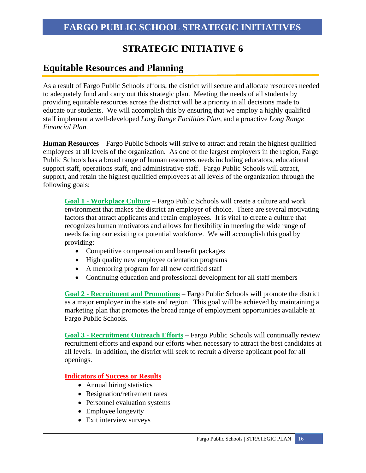### **Equitable Resources and Planning**

As a result of Fargo Public Schools efforts, the district will secure and allocate resources needed to adequately fund and carry out this strategic plan. Meeting the needs of all students by providing equitable resources across the district will be a priority in all decisions made to educate our students. We will accomplish this by ensuring that we employ a highly qualified staff implement a well-developed *Long Range Facilities Plan,* and a proactive *Long Range Financial Plan*.

**Human Resources** – Fargo Public Schools will strive to attract and retain the highest qualified employees at all levels of the organization. As one of the largest employers in the region, Fargo Public Schools has a broad range of human resources needs including educators, educational support staff, operations staff, and administrative staff. Fargo Public Schools will attract, support, and retain the highest qualified employees at all levels of the organization through the following goals:

**Goal 1 - Workplace Culture** – Fargo Public Schools will create a culture and work environment that makes the district an employer of choice. There are several motivating factors that attract applicants and retain employees. It is vital to create a culture that recognizes human motivators and allows for flexibility in meeting the wide range of needs facing our existing or potential workforce. We will accomplish this goal by providing:

- Competitive compensation and benefit packages
- High quality new employee orientation programs
- A mentoring program for all new certified staff
- Continuing education and professional development for all staff members

**Goal 2 - Recruitment and Promotions** – Fargo Public Schools will promote the district as a major employer in the state and region. This goal will be achieved by maintaining a marketing plan that promotes the broad range of employment opportunities available at Fargo Public Schools.

**Goal 3 - Recruitment Outreach Efforts** – Fargo Public Schools will continually review recruitment efforts and expand our efforts when necessary to attract the best candidates at all levels. In addition, the district will seek to recruit a diverse applicant pool for all openings.

- Annual hiring statistics
- Resignation/retirement rates
- Personnel evaluation systems
- Employee longevity
- Exit interview surveys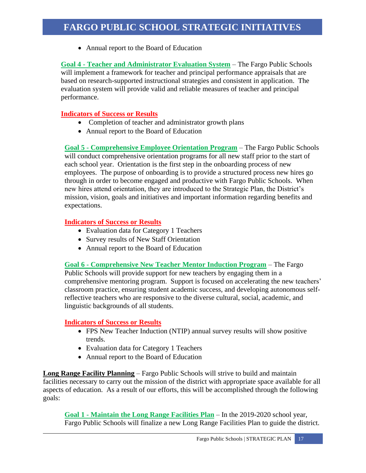• Annual report to the Board of Education

**Goal 4 - Teacher and Administrator Evaluation System** – The Fargo Public Schools will implement a framework for teacher and principal performance appraisals that are based on research-supported instructional strategies and consistent in application. The evaluation system will provide valid and reliable measures of teacher and principal performance.

### **Indicators of Success or Results**

- Completion of teacher and administrator growth plans
- Annual report to the Board of Education

**Goal 5 - Comprehensive Employee Orientation Program** – The Fargo Public Schools will conduct comprehensive orientation programs for all new staff prior to the start of each school year. Orientation is the first step in the onboarding process of new employees. The purpose of onboarding is to provide a structured process new hires go through in order to become engaged and productive with Fargo Public Schools. When new hires attend orientation, they are introduced to the Strategic Plan, the District's mission, vision, goals and initiatives and important information regarding benefits and expectations.

### **Indicators of Success or Results**

- Evaluation data for Category 1 Teachers
- Survey results of New Staff Orientation
- Annual report to the Board of Education

**Goal 6 - Comprehensive New Teacher Mentor Induction Program** – The Fargo Public Schools will provide support for new teachers by engaging them in a comprehensive mentoring program. Support is focused on accelerating the new teachers' classroom practice, ensuring student academic success, and developing autonomous selfreflective teachers who are responsive to the diverse cultural, social, academic, and linguistic backgrounds of all students.

### **Indicators of Success or Results**

- FPS New Teacher Induction (NTIP) annual survey results will show positive trends.
- Evaluation data for Category 1 Teachers
- Annual report to the Board of Education

**Long Range Facility Planning** – Fargo Public Schools will strive to build and maintain facilities necessary to carry out the mission of the district with appropriate space available for all aspects of education. As a result of our efforts, this will be accomplished through the following goals:

**Goal 1 - Maintain the Long Range Facilities Plan** – In the 2019-2020 school year, Fargo Public Schools will finalize a new Long Range Facilities Plan to guide the district.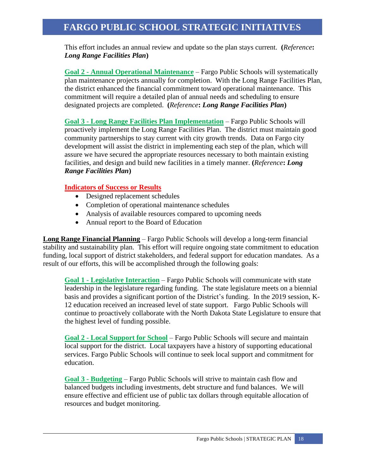This effort includes an annual review and update so the plan stays current. **(***Reference***:**  *Long Range Facilities Plan***)**

**Goal 2 - Annual Operational Maintenance** – Fargo Public Schools will systematically plan maintenance projects annually for completion. With the Long Range Facilities Plan, the district enhanced the financial commitment toward operational maintenance. This commitment will require a detailed plan of annual needs and scheduling to ensure designated projects are completed. **(***Reference***:** *Long Range Facilities Plan***)**

**Goal 3 - Long Range Facilities Plan Implementation** – Fargo Public Schools will proactively implement the Long Range Facilities Plan. The district must maintain good community partnerships to stay current with city growth trends. Data on Fargo city development will assist the district in implementing each step of the plan, which will assure we have secured the appropriate resources necessary to both maintain existing facilities, and design and build new facilities in a timely manner. **(***Reference***:** *Long Range Facilities Plan***)**

#### **Indicators of Success or Results**

- Designed replacement schedules
- Completion of operational maintenance schedules
- Analysis of available resources compared to upcoming needs
- Annual report to the Board of Education

**Long Range Financial Planning** – Fargo Public Schools will develop a long-term financial stability and sustainability plan. This effort will require ongoing state commitment to education funding, local support of district stakeholders, and federal support for education mandates. As a result of our efforts, this will be accomplished through the following goals:

**Goal 1 - Legislative Interaction** – Fargo Public Schools will communicate with state leadership in the legislature regarding funding. The state legislature meets on a biennial basis and provides a significant portion of the District's funding. In the 2019 session, K-12 education received an increased level of state support. Fargo Public Schools will continue to proactively collaborate with the North Dakota State Legislature to ensure that the highest level of funding possible.

**Goal 2 - Local Support for School** – Fargo Public Schools will secure and maintain local support for the district. Local taxpayers have a history of supporting educational services. Fargo Public Schools will continue to seek local support and commitment for education.

**Goal 3 - Budgeting** – Fargo Public Schools will strive to maintain cash flow and balanced budgets including investments, debt structure and fund balances. We will ensure effective and efficient use of public tax dollars through equitable allocation of resources and budget monitoring.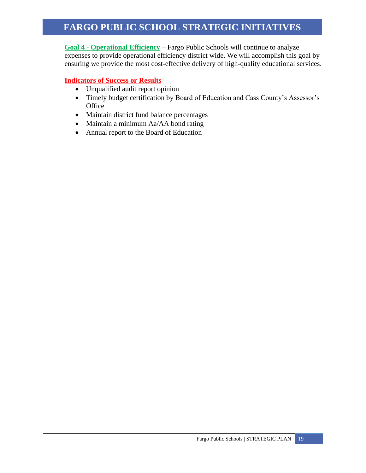**Goal 4 - Operational Efficiency** – Fargo Public Schools will continue to analyze expenses to provide operational efficiency district wide. We will accomplish this goal by ensuring we provide the most cost-effective delivery of high-quality educational services.

- Unqualified audit report opinion
- Timely budget certification by Board of Education and Cass County's Assessor's **Office**
- Maintain district fund balance percentages
- Maintain a minimum Aa/AA bond rating
- Annual report to the Board of Education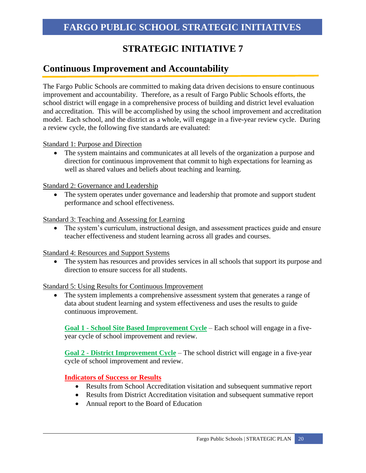### **Continuous Improvement and Accountability**

The Fargo Public Schools are committed to making data driven decisions to ensure continuous improvement and accountability. Therefore, as a result of Fargo Public Schools efforts, the school district will engage in a comprehensive process of building and district level evaluation and accreditation. This will be accomplished by using the school improvement and accreditation model. Each school, and the district as a whole, will engage in a five-year review cycle. During a review cycle, the following five standards are evaluated:

Standard 1: Purpose and Direction

• The system maintains and communicates at all levels of the organization a purpose and direction for continuous improvement that commit to high expectations for learning as well as shared values and beliefs about teaching and learning.

Standard 2: Governance and Leadership

• The system operates under governance and leadership that promote and support student performance and school effectiveness.

Standard 3: Teaching and Assessing for Learning

• The system's curriculum, instructional design, and assessment practices guide and ensure teacher effectiveness and student learning across all grades and courses.

Standard 4: Resources and Support Systems

• The system has resources and provides services in all schools that support its purpose and direction to ensure success for all students.

Standard 5: Using Results for Continuous Improvement

The system implements a comprehensive assessment system that generates a range of data about student learning and system effectiveness and uses the results to guide continuous improvement.

**Goal 1 - School Site Based Improvement Cycle** – Each school will engage in a fiveyear cycle of school improvement and review.

**Goal 2 - District Improvement Cycle** – The school district will engage in a five-year cycle of school improvement and review.

- Results from School Accreditation visitation and subsequent summative report
- Results from District Accreditation visitation and subsequent summative report
- Annual report to the Board of Education